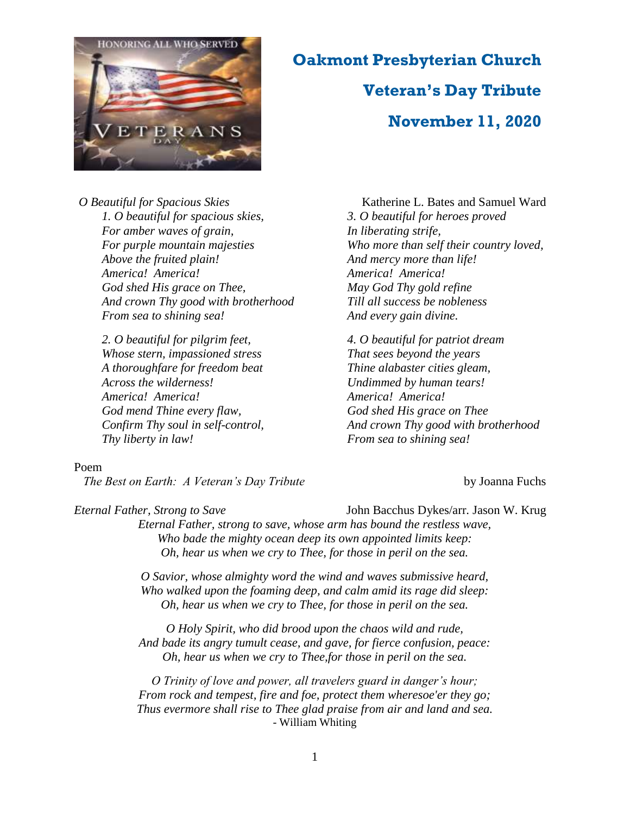

### **Oakmont Presbyterian Church**

## **Veteran's Day Tribute November 11, 2020**

*O Beautiful for Spacious Skies* Katherine L. Bates and Samuel Ward *1. O beautiful for spacious skies, For amber waves of grain, For purple mountain majesties Above the fruited plain! America! America! God shed His grace on Thee, And crown Thy good with brotherhood From sea to shining sea!*

*2. O beautiful for pilgrim feet, Whose stern, impassioned stress A thoroughfare for freedom beat Across the wilderness! America! America! God mend Thine every flaw, Confirm Thy soul in self-control, Thy liberty in law!*

#### Poem

*The Best on Earth: A Veteran's Day Tribute* by Joanna Fuchs

*3. O beautiful for heroes proved In liberating strife, Who more than self their country loved, And mercy more than life! America! America! May God Thy gold refine Till all success be nobleness And every gain divine.*

*4. O beautiful for patriot dream That sees beyond the years Thine alabaster cities gleam, Undimmed by human tears! America! America! God shed His grace on Thee And crown Thy good with brotherhood From sea to shining sea!*

*Eternal Father, Strong to Save* John Bacchus Dykes/arr. Jason W. Krug

*Eternal Father, strong to save, whose arm has bound the restless wave, Who bade the mighty ocean deep its own appointed limits keep: Oh, hear us when we cry to Thee, for those in peril on the sea.*

*O Savior, whose almighty word the wind and waves submissive heard, Who walked upon the foaming deep, and calm amid its rage did sleep: Oh, hear us when we cry to Thee, for those in peril on the sea.*

*O Holy Spirit, who did brood upon the chaos wild and rude, And bade its angry tumult cease, and gave, for fierce confusion, peace: Oh, hear us when we cry to Thee,for those in peril on the sea.*

*O Trinity of love and power, all travelers guard in danger's hour; From rock and tempest, fire and foe, protect them wheresoe'er they go; Thus evermore shall rise to Thee glad praise from air and land and sea.* - William Whiting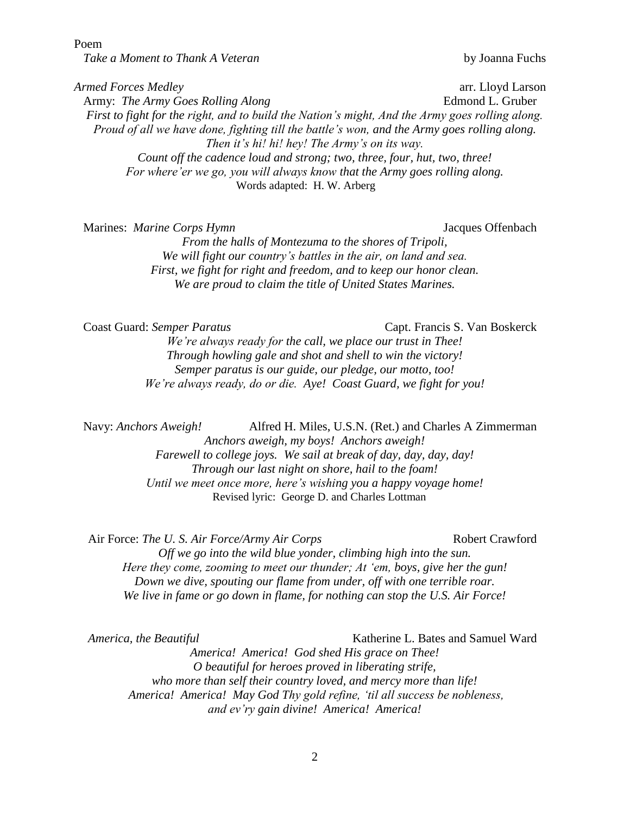Poem

*Take a Moment to Thank A Veteran* by Joanna Fuchs

*Armed Forces Medley* arr. Lloyd Larson Army: *The Army Goes Rolling Along* Edmond L. Gruber *First to fight for the right, and to build the Nation's might, And the Army goes rolling along. Proud of all we have done, fighting till the battle's won, and the Army goes rolling along. Then it's hi! hi! hey! The Army's on its way. Count off the cadence loud and strong; two, three, four, hut, two, three! For where'er we go, you will always know that the Army goes rolling along.* Words adapted: H. W. Arberg

Marines: *Marine Corps Hymn* Jacques Offenbach

*From the halls of Montezuma to the shores of Tripoli, We will fight our country's battles in the air, on land and sea. First, we fight for right and freedom, and to keep our honor clean. We are proud to claim the title of United States Marines.*

Coast Guard: *Semper Paratus* Capt. Francis S. Van Boskerck

*We're always ready for the call, we place our trust in Thee! Through howling gale and shot and shell to win the victory! Semper paratus is our guide, our pledge, our motto, too! We're always ready, do or die. Aye! Coast Guard, we fight for you!*

Navy: *Anchors Aweigh!* Alfred H. Miles, U.S.N. (Ret.) and Charles A Zimmerman *Anchors aweigh, my boys! Anchors aweigh! Farewell to college joys. We sail at break of day, day, day, day!* 

*Through our last night on shore, hail to the foam! Until we meet once more, here's wishing you a happy voyage home!* Revised lyric: George D. and Charles Lottman

Air Force: *The U. S. Air Force/Army Air Corps* Robert Crawford *Off we go into the wild blue yonder, climbing high into the sun. Here they come, zooming to meet our thunder; At 'em, boys, give her the gun! Down we dive, spouting our flame from under, off with one terrible roar. We live in fame or go down in flame, for nothing can stop the U.S. Air Force!*

*America, the Beautiful* **Katherine L. Bates and Samuel Ward** Katherine L. Bates and Samuel Ward *America! America! God shed His grace on Thee! O beautiful for heroes proved in liberating strife, who more than self their country loved, and mercy more than life! America! America! May God Thy gold refine, 'til all success be nobleness, and ev'ry gain divine! America! America!*